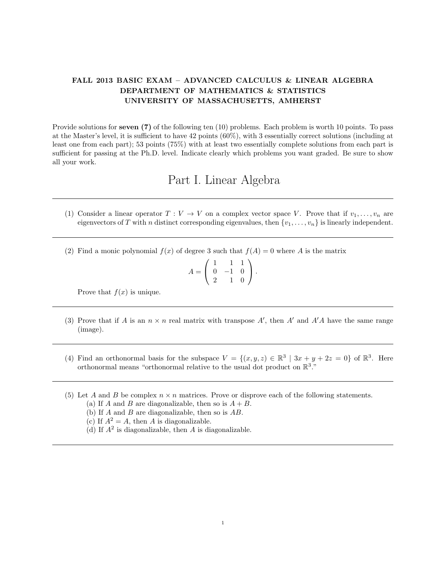## FALL 2013 BASIC EXAM – ADVANCED CALCULUS & LINEAR ALGEBRA DEPARTMENT OF MATHEMATICS & STATISTICS UNIVERSITY OF MASSACHUSETTS, AMHERST

Provide solutions for seven (7) of the following ten (10) problems. Each problem is worth 10 points. To pass at the Master's level, it is sufficient to have 42 points (60%), with 3 essentially correct solutions (including at least one from each part); 53 points (75%) with at least two essentially complete solutions from each part is sufficient for passing at the Ph.D. level. Indicate clearly which problems you want graded. Be sure to show all your work.

## Part I. Linear Algebra

- (1) Consider a linear operator  $T : V \to V$  on a complex vector space V. Prove that if  $v_1, \ldots, v_n$  are eigenvectors of T with n distinct corresponding eigenvalues, then  $\{v_1, \ldots, v_n\}$  is linearly independent.
- (2) Find a monic polynomial  $f(x)$  of degree 3 such that  $f(A) = 0$  where A is the matrix

$$
A = \left(\begin{array}{rrr} 1 & 1 & 1 \\ 0 & -1 & 0 \\ 2 & 1 & 0 \end{array}\right).
$$

Prove that  $f(x)$  is unique.

- (3) Prove that if A is an  $n \times n$  real matrix with transpose A', then A' and A'A have the same range (image).
- (4) Find an orthonormal basis for the subspace  $V = \{(x, y, z) \in \mathbb{R}^3 \mid 3x + y + 2z = 0\}$  of  $\mathbb{R}^3$ . Here orthonormal means "orthonormal relative to the usual dot product on  $\mathbb{R}^3$ ."
- (5) Let A and B be complex  $n \times n$  matrices. Prove or disprove each of the following statements.
	- (a) If A and B are diagonalizable, then so is  $A + B$ .
	- (b) If  $A$  and  $B$  are diagonalizable, then so is  $AB$ .
	- (c) If  $A^2 = A$ , then A is diagonalizable.
	- (d) If  $A<sup>2</sup>$  is diagonalizable, then A is diagonalizable.